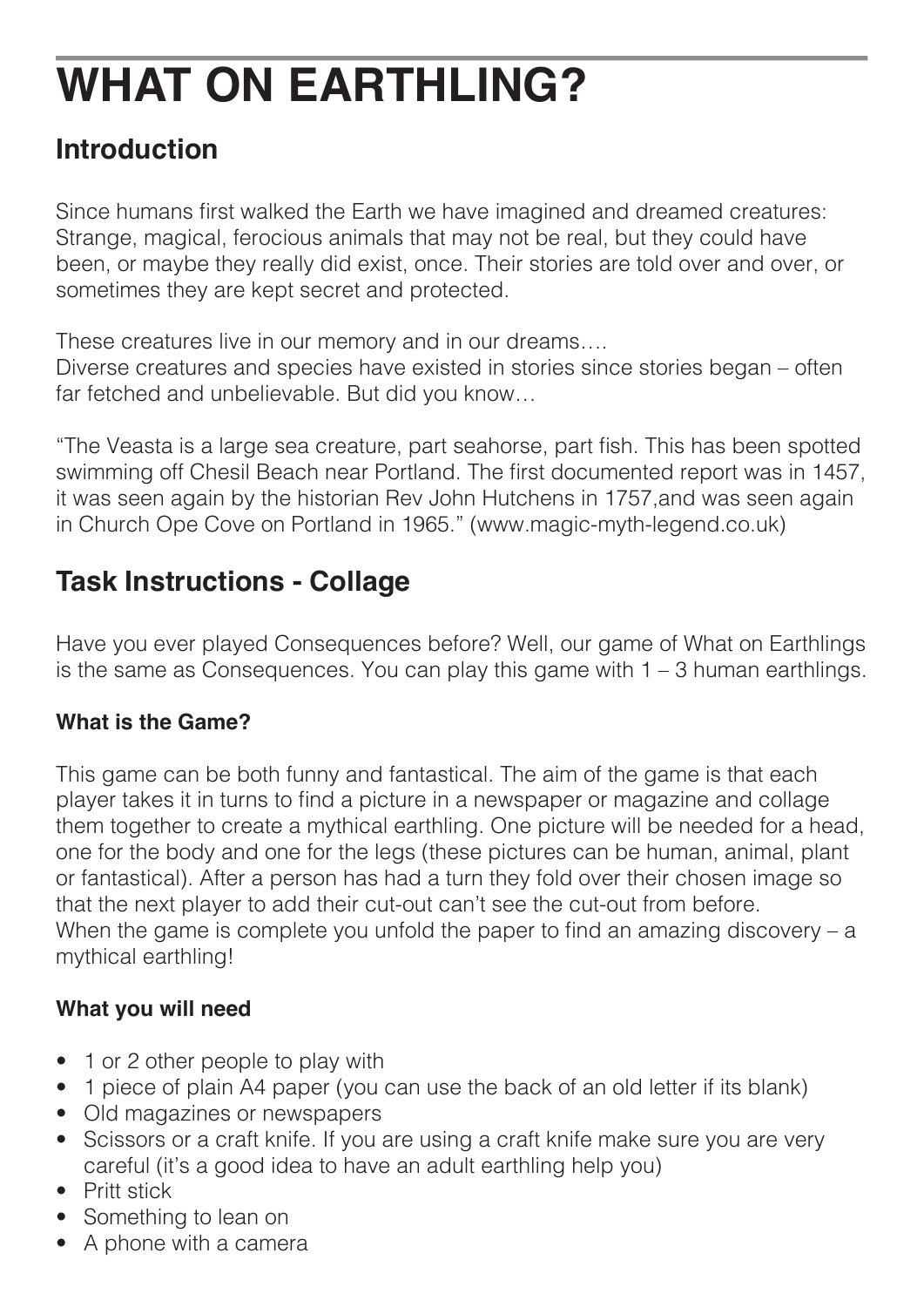# **WHAT ON EARTHLING?**

## **Introduction**

Since humans first walked the Earth we have imagined and dreamed creatures: Strange, magical, ferocious animals that may not be real, but they could have been, or maybe they really did exist, once. Their stories are told over and over, or sometimes they are kept secret and protected.

These creatures live in our memory and in our dreams….

Diverse creatures and species have existed in stories since stories began – often far fetched and unbelievable. But did you know…

"The Veasta is a large sea creature, part seahorse, part fish. This has been spotted swimming off Chesil Beach near Portland. The first documented report was in 1457, it was seen again by the historian Rev John Hutchens in 1757,and was seen again in Church Ope Cove on Portland in 1965." (www.magic-myth-legend.co.uk)

## **Task Instructions - Collage**

Have you ever played Consequences before? Well, our game of What on Earthlings is the same as Consequences. You can play this game with  $1 - 3$  human earthlings.

#### **What is the Game?**

This game can be both funny and fantastical. The aim of the game is that each player takes it in turns to find a picture in a newspaper or magazine and collage them together to create a mythical earthling. One picture will be needed for a head, one for the body and one for the legs (these pictures can be human, animal, plant or fantastical). After a person has had a turn they fold over their chosen image so that the next player to add their cut-out can't see the cut-out from before. When the game is complete you unfold the paper to find an amazing discovery – a mythical earthling!

### **What you will need**

- 1 or 2 other people to play with
- 1 piece of plain A4 paper (you can use the back of an old letter if its blank)
- Old magazines or newspapers
- Scissors or a craft knife. If you are using a craft knife make sure you are very careful (it's a good idea to have an adult earthling help you)
- Pritt stick
- Something to lean on
- A phone with a camera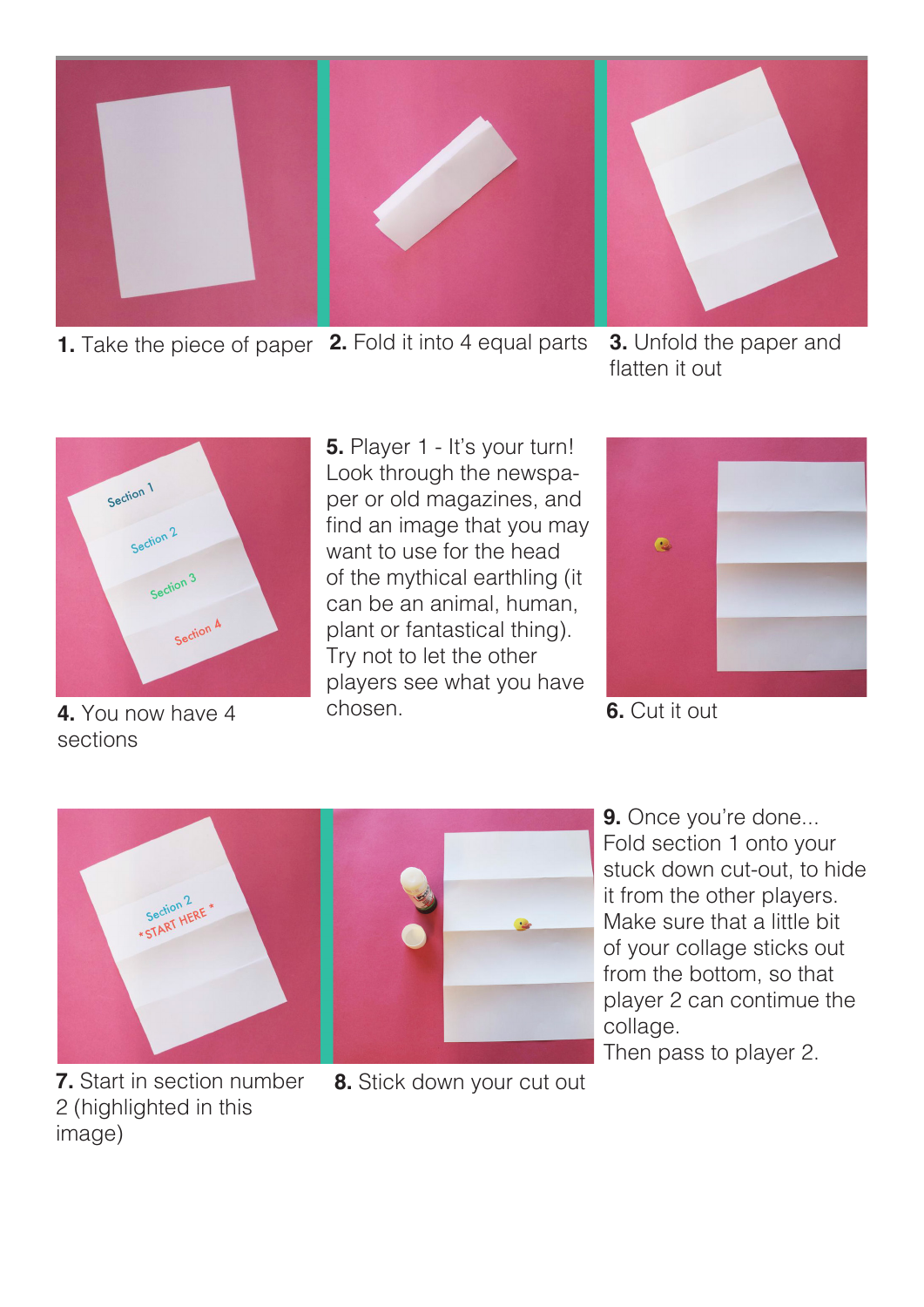

**1.** Take the piece of paper **2.** Fold it into 4 equal parts **3.** Unfold the paper and

flatten it out



**4.** You now have 4 sections

chosen. **5.** Player 1 - It's your turn! Look through the newspaper or old magazines, and find an image that you may want to use for the head of the mythical earthling (it can be an animal, human, plant or fantastical thing). Try not to let the other players see what you have



**6.** Cut it out





**9.** Once you're done... Fold section 1 onto your stuck down cut-out, to hide it from the other players. Make sure that a little bit of your collage sticks out from the bottom, so that player 2 can contimue the collage.

Then pass to player 2.

**8.** Stick down your cut out

**7.** Start in section number 2 (highlighted in this image)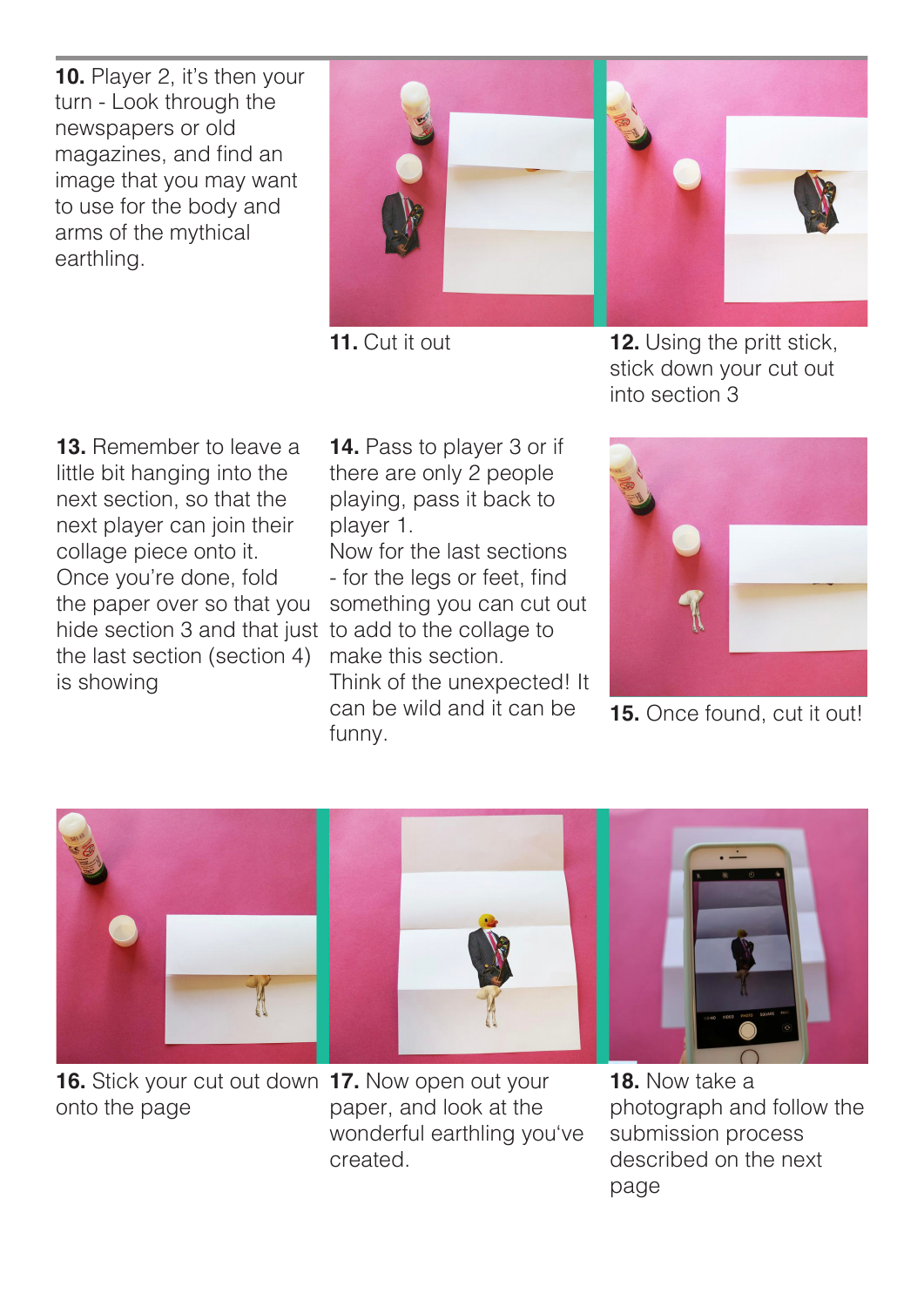**10.** Player 2, it's then your turn - Look through the newspapers or old magazines, and find an image that you may want to use for the body and arms of the mythical earthling.

**13.** Remember to leave a little bit hanging into the next section, so that the next player can join their collage piece onto it. Once you're done, fold the paper over so that you hide section 3 and that just to add to the collage to the last section (section 4) is showing

**14.** Pass to player 3 or if there are only 2 people playing, pass it back to player 1.

Now for the last sections - for the legs or feet, find something you can cut out make this section. Think of the unexpected! It can be wild and it can be funny.

**11.** Cut it out **12.** Using the pritt stick, stick down your cut out into section 3



**15.** Once found, cut it out!



**16.** Stick your cut out down **17.** Now open out your onto the page

paper, and look at the wonderful earthling you've created.

**18.** Now take a photograph and follow the submission process described on the next page